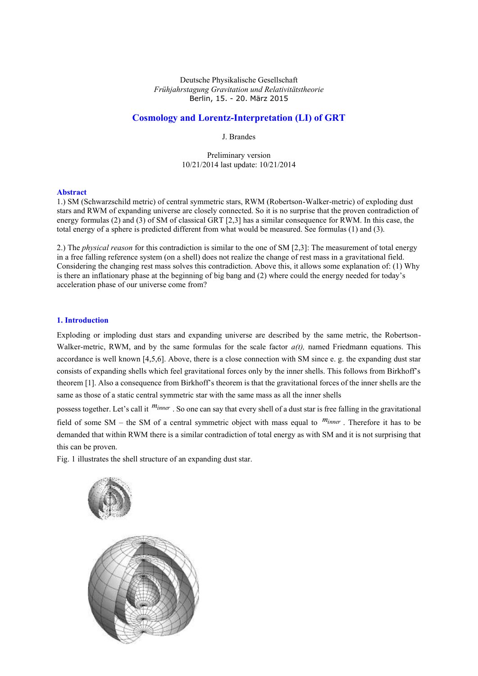Deutsche Physikalische Gesellschaft *Frühjahrstagung Gravitation und Relativitätstheorie*  Berlin, 15. - 20. März 2015

# **Cosmology and Lorentz-Interpretation (LI) of GRT**

J. Brandes

Preliminary version 10/21/2014 last update: 10/21/2014

## **Abstract**

1.) SM (Schwarzschild metric) of central symmetric stars, RWM (Robertson-Walker-metric) of exploding dust stars and RWM of expanding universe are closely connected. So it is no surprise that the proven contradiction of energy formulas (2) and (3) of SM of classical GRT [2,3] has a similar consequence for RWM. In this case, the total energy of a sphere is predicted different from what would be measured. See formulas (1) and (3).

2.) The *physical reason* for this contradiction is similar to the one of SM [2,3]: The measurement of total energy in a free falling reference system (on a shell) does not realize the change of rest mass in a gravitational field. Considering the changing rest mass solves this contradiction. Above this, it allows some explanation of: (1) Why is there an inflationary phase at the beginning of big bang and (2) where could the energy needed for today's acceleration phase of our universe come from?

## **1. Introduction**

Exploding or imploding dust stars and expanding universe are described by the same metric, the Robertson-Walker-metric, RWM, and by the same formulas for the scale factor *a(t),* named Friedmann equations. This accordance is well known [4,5,6]. Above, there is a close connection with SM since e. g. the expanding dust star consists of expanding shells which feel gravitational forces only by the inner shells. This follows from Birkhoff's theorem [1]. Also a consequence from Birkhoff's theorem is that the gravitational forces of the inner shells are the same as those of a static central symmetric star with the same mass as all the inner shells

possess together. Let's call it *minner* . So one can say that every shell of a dust star is free falling in the gravitational field of some SM – the SM of a central symmetric object with mass equal to *minner* . Therefore it has to be demanded that within RWM there is a similar contradiction of total energy as with SM and it is not surprising that this can be proven.

Fig. 1 illustrates the shell structure of an expanding dust star.

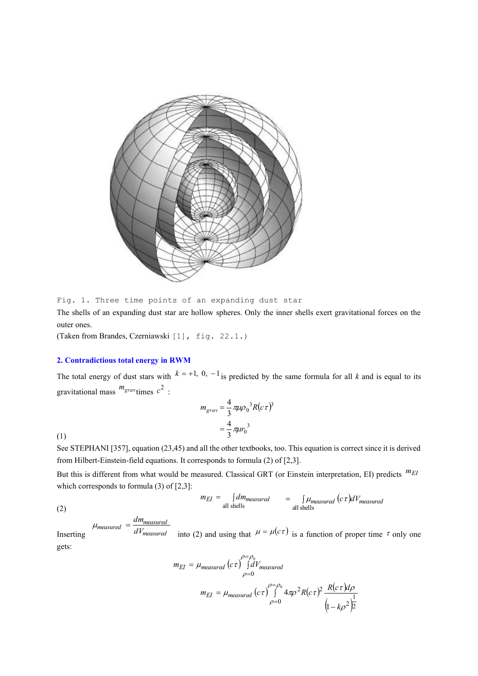

Fig. 1. Three time points of an expanding dust star

The shells of an expanding dust star are hollow spheres. Only the inner shells exert gravitational forces on the outer ones.

(Taken from Brandes, Czerniawski [1], fig. 22.1.)

# **2. Contradictious total energy in RWM**

The total energy of dust stars with  $k = +1, 0, -1$  is predicted by the same formula for all k and is equal to its gravitational mass *mgrav* times 2 *c* :

$$
m_{grav} = \frac{4}{3} \pi \mu \rho_0^3 R(c\tau)^3
$$
  
=  $\frac{4}{3} \pi \mu r_0^3$ 

(1)

See STEPHANI [357], equation (23,45) and all the other textbooks, too. This equation is correct since it is derived from Hilbert-Einstein-field equations. It corresponds to formula (2) of [2,3].

But this is different from what would be measured. Classical GRT (or Einstein interpretation, EI) predicts *mEI* which corresponds to formula  $(3)$  of  $[2,3]$ :

$$
m_{EI} = \int dm_{measured} = \int \mu_{measured} (c\tau) dV_{measured}
$$
  
all shells

(2)

$$
\mu_{measured} = \frac{dm_{measured}}{dV_{measured}}
$$

Inserting into (2) and using that  $\mu = \mu(c\tau)$  is a function of proper time  $\tau$  only one gets:

$$
m_{EI} = \mu_{measured} (c\tau) \int_{\rho=0}^{\rho=\rho_0} dV_{measured}
$$
  

$$
m_{EI} = \mu_{measured} (c\tau) \int_{\rho=0}^{\rho=\rho_0} 4\pi \rho^2 R (c\tau)^2 \frac{R(c\tau) d\rho}{(1 - k\rho^2)^2}
$$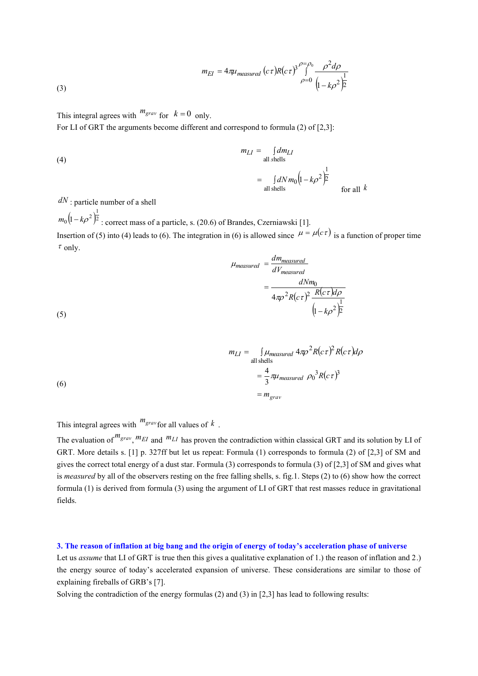(3) 
$$
m_{EI} = 4\pi\mu_{measured} (c\tau)R(c\tau)^3 \int_{\rho=0}^{\rho=\rho_0} \frac{\rho^2 d\rho}{\left(1 - k\rho^2\right)^{\frac{1}{2}}}
$$

This integral agrees with  $m_{grav}$  for  $k = 0$  only.

For LI of GRT the arguments become different and correspond to formula (2) of [2,3]:

(4)  
\n
$$
m_{LI} = \int d m_{LI} d m_{0} (1 - k \rho^{2})^{\frac{1}{2}}
$$
\n
$$
= \int d N m_{0} (1 - k \rho^{2})^{\frac{1}{2}}
$$
\nfor all  $k$ 

*dN* : particle number of a shell

(5)

 $(1-k\rho^2)$ <sup>2</sup>  $m_0 \left(1 - k \rho^2\right)^{\frac{1}{2}}$ : correct mass of a particle, s. (20.6) of Brandes, Czerniawski [1]. Insertion of (5) into (4) leads to (6). The integration in (6) is allowed since  $\mu = \mu(c\tau)$  is a function of proper time  $\tau$  only.

$$
\mu_{measured} = \frac{dm_{measured}}{dV_{measured}}
$$

$$
= \frac{dNm_0}{4\pi\rho^2 R(c\tau)^2 \frac{R(c\tau)d\rho}{(1-k\rho^2)^{\frac{1}{2}}}}
$$

$$
m_{LI} = \int \mu_{measured} 4\pi \rho^2 R(c\tau)^2 R(c\tau) d\rho
$$
  
all shells  

$$
= \frac{4}{3} \pi \mu_{measured} \rho_0^3 R(c\tau)^3
$$

$$
= m_{grav}
$$

This integral agrees with *mgrav* for all values of *k* .

The evaluation of  $m_{grav}$ ,  $m_{EI}$  and  $m_{LI}$  has proven the contradiction within classical GRT and its solution by LI of GRT. More details s. [1] p. 327ff but let us repeat: Formula (1) corresponds to formula (2) of [2,3] of SM and gives the correct total energy of a dust star. Formula (3) corresponds to formula (3) of [2,3] of SM and gives what is *measured* by all of the observers resting on the free falling shells, s. fig.1. Steps (2) to (6) show how the correct formula (1) is derived from formula (3) using the argument of LI of GRT that rest masses reduce in gravitational fields.

#### **3. The reason of inflation at big bang and the origin of energy of today's acceleration phase of universe**

Let us *assume* that LI of GRT is true then this gives a qualitative explanation of 1.) the reason of inflation and 2.) the energy source of today's accelerated expansion of universe. These considerations are similar to those of explaining fireballs of GRB's [7].

Solving the contradiction of the energy formulas (2) and (3) in [2,3] has lead to following results: